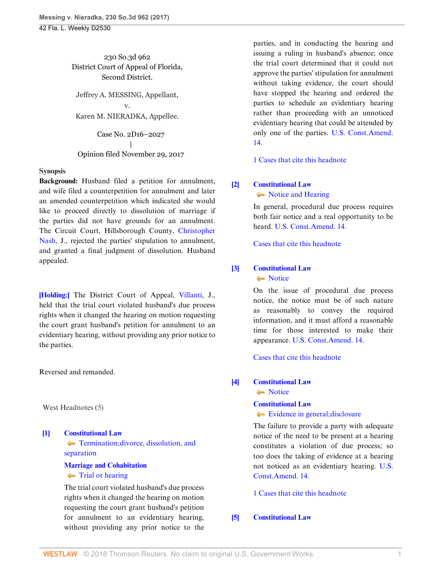230 So.3d 962 District Court of Appeal of Florida, Second District.

Jeffrey A. MESSING, Appellant, v. Karen M. NIERADKA, Appellee.

Case No. 2D16–2027 | Opinion filed November 29, 2017

#### **Synopsis**

**Background:** Husband filed a petition for annulment, and wife filed a counterpetition for annulment and later an amended counterpetition which indicated she would like to proceed directly to dissolution of marriage if the parties did not have grounds for an annulment. The Circuit Court, Hillsborough County, [Christopher](http://www.westlaw.com/Link/Document/FullText?findType=h&pubNum=176284&cite=0484174001&originatingDoc=I4044e760d51011e7adf1d38c358a4230&refType=RQ&originationContext=document&vr=3.0&rs=cblt1.0&transitionType=DocumentItem&contextData=(sc.Search)) [Nash,](http://www.westlaw.com/Link/Document/FullText?findType=h&pubNum=176284&cite=0484174001&originatingDoc=I4044e760d51011e7adf1d38c358a4230&refType=RQ&originationContext=document&vr=3.0&rs=cblt1.0&transitionType=DocumentItem&contextData=(sc.Search)) J., rejected the parties' stipulation to annulment, and granted a final judgment of dissolution. Husband appealed.

**[\[Holding:\]](#page-0-0)** The District Court of Appeal, [Villanti,](http://www.westlaw.com/Link/Document/FullText?findType=h&pubNum=176284&cite=0107400301&originatingDoc=I4044e760d51011e7adf1d38c358a4230&refType=RQ&originationContext=document&vr=3.0&rs=cblt1.0&transitionType=DocumentItem&contextData=(sc.Search)) J., held that the trial court violated husband's due process rights when it changed the hearing on motion requesting the court grant husband's petition for annulment to an evidentiary hearing, without providing any prior notice to the parties.

Reversed and remanded.

West Headnotes (5)

<span id="page-0-0"></span>**[\[1\]](#page-2-0) [Constitutional Law](http://www.westlaw.com/Browse/Home/KeyNumber/92/View.html?docGuid=I4044e760d51011e7adf1d38c358a4230&originationContext=document&vr=3.0&rs=cblt1.0&transitionType=DocumentItem&contextData=(sc.Search)) [Termination; divorce, dissolution, and](http://www.westlaw.com/Browse/Home/KeyNumber/92k4386/View.html?docGuid=I4044e760d51011e7adf1d38c358a4230&originationContext=document&vr=3.0&rs=cblt1.0&transitionType=DocumentItem&contextData=(sc.Search))** [separation](http://www.westlaw.com/Browse/Home/KeyNumber/92k4386/View.html?docGuid=I4044e760d51011e7adf1d38c358a4230&originationContext=document&vr=3.0&rs=cblt1.0&transitionType=DocumentItem&contextData=(sc.Search)) **[Marriage and Cohabitation](http://www.westlaw.com/Browse/Home/KeyNumber/253/View.html?docGuid=I4044e760d51011e7adf1d38c358a4230&originationContext=document&vr=3.0&rs=cblt1.0&transitionType=DocumentItem&contextData=(sc.Search))**

# **[Trial or hearing](http://www.westlaw.com/Browse/Home/KeyNumber/253k332/View.html?docGuid=I4044e760d51011e7adf1d38c358a4230&originationContext=document&vr=3.0&rs=cblt1.0&transitionType=DocumentItem&contextData=(sc.Search))**

The trial court violated husband's due process rights when it changed the hearing on motion requesting the court grant husband's petition for annulment to an evidentiary hearing, without providing any prior notice to the

parties, and in conducting the hearing and issuing a ruling in husband's absence; once the trial court determined that it could not approve the parties' stipulation for annulment without taking evidence, the court should have stopped the hearing and ordered the parties to schedule an evidentiary hearing rather than proceeding with an unnoticed evidentiary hearing that could be attended by only one of the parties. [U.S. Const.Amend.](http://www.westlaw.com/Link/Document/FullText?findType=L&pubNum=1000583&cite=USCOAMENDXIV&originatingDoc=I4044e760d51011e7adf1d38c358a4230&refType=LQ&originationContext=document&vr=3.0&rs=cblt1.0&transitionType=DocumentItem&contextData=(sc.Search)) [14.](http://www.westlaw.com/Link/Document/FullText?findType=L&pubNum=1000583&cite=USCOAMENDXIV&originatingDoc=I4044e760d51011e7adf1d38c358a4230&refType=LQ&originationContext=document&vr=3.0&rs=cblt1.0&transitionType=DocumentItem&contextData=(sc.Search))

[1 Cases that cite this headnote](http://www.westlaw.com/Link/RelatedInformation/DocHeadnoteLink?docGuid=I4044e760d51011e7adf1d38c358a4230&headnoteId=204327396900120180309063317&originationContext=document&vr=3.0&rs=cblt1.0&transitionType=CitingReferences&contextData=(sc.Search))

# <span id="page-0-1"></span>**[\[2\]](#page-2-1) [Constitutional Law](http://www.westlaw.com/Browse/Home/KeyNumber/92/View.html?docGuid=I4044e760d51011e7adf1d38c358a4230&originationContext=document&vr=3.0&rs=cblt1.0&transitionType=DocumentItem&contextData=(sc.Search))**

• [Notice and Hearing](http://www.westlaw.com/Browse/Home/KeyNumber/92k3878/View.html?docGuid=I4044e760d51011e7adf1d38c358a4230&originationContext=document&vr=3.0&rs=cblt1.0&transitionType=DocumentItem&contextData=(sc.Search))

In general, procedural due process requires both fair notice and a real opportunity to be heard. [U.S. Const.Amend. 14](http://www.westlaw.com/Link/Document/FullText?findType=L&pubNum=1000583&cite=USCOAMENDXIV&originatingDoc=I4044e760d51011e7adf1d38c358a4230&refType=LQ&originationContext=document&vr=3.0&rs=cblt1.0&transitionType=DocumentItem&contextData=(sc.Search)).

[Cases that cite this headnote](http://www.westlaw.com/Link/RelatedInformation/DocHeadnoteLink?docGuid=I4044e760d51011e7adf1d38c358a4230&headnoteId=204327396900220180309063317&originationContext=document&vr=3.0&rs=cblt1.0&transitionType=CitingReferences&contextData=(sc.Search))

### <span id="page-0-2"></span>**[\[3\]](#page-2-2) [Constitutional Law](http://www.westlaw.com/Browse/Home/KeyNumber/92/View.html?docGuid=I4044e760d51011e7adf1d38c358a4230&originationContext=document&vr=3.0&rs=cblt1.0&transitionType=DocumentItem&contextData=(sc.Search))**

• [Notice](http://www.westlaw.com/Browse/Home/KeyNumber/92k3881/View.html?docGuid=I4044e760d51011e7adf1d38c358a4230&originationContext=document&vr=3.0&rs=cblt1.0&transitionType=DocumentItem&contextData=(sc.Search))

On the issue of procedural due process notice, the notice must be of such nature as reasonably to convey the required information, and it must afford a reasonable time for those interested to make their appearance. [U.S. Const.Amend. 14.](http://www.westlaw.com/Link/Document/FullText?findType=L&pubNum=1000583&cite=USCOAMENDXIV&originatingDoc=I4044e760d51011e7adf1d38c358a4230&refType=LQ&originationContext=document&vr=3.0&rs=cblt1.0&transitionType=DocumentItem&contextData=(sc.Search))

[Cases that cite this headnote](http://www.westlaw.com/Link/RelatedInformation/DocHeadnoteLink?docGuid=I4044e760d51011e7adf1d38c358a4230&headnoteId=204327396900320180309063317&originationContext=document&vr=3.0&rs=cblt1.0&transitionType=CitingReferences&contextData=(sc.Search))

## <span id="page-0-3"></span>**[\[4\]](#page-2-3) [Constitutional Law](http://www.westlaw.com/Browse/Home/KeyNumber/92/View.html?docGuid=I4044e760d51011e7adf1d38c358a4230&originationContext=document&vr=3.0&rs=cblt1.0&transitionType=DocumentItem&contextData=(sc.Search))**

• [Notice](http://www.westlaw.com/Browse/Home/KeyNumber/92k3881/View.html?docGuid=I4044e760d51011e7adf1d38c358a4230&originationContext=document&vr=3.0&rs=cblt1.0&transitionType=DocumentItem&contextData=(sc.Search))

#### **[Constitutional Law](http://www.westlaw.com/Browse/Home/KeyNumber/92/View.html?docGuid=I4044e760d51011e7adf1d38c358a4230&originationContext=document&vr=3.0&rs=cblt1.0&transitionType=DocumentItem&contextData=(sc.Search))**

[Evidence in general; disclosure](http://www.westlaw.com/Browse/Home/KeyNumber/92k3882/View.html?docGuid=I4044e760d51011e7adf1d38c358a4230&originationContext=document&vr=3.0&rs=cblt1.0&transitionType=DocumentItem&contextData=(sc.Search))

The failure to provide a party with adequate notice of the need to be present at a hearing constitutes a violation of due process; so too does the taking of evidence at a hearing not noticed as an evidentiary hearing. [U.S.](http://www.westlaw.com/Link/Document/FullText?findType=L&pubNum=1000583&cite=USCOAMENDXIV&originatingDoc=I4044e760d51011e7adf1d38c358a4230&refType=LQ&originationContext=document&vr=3.0&rs=cblt1.0&transitionType=DocumentItem&contextData=(sc.Search)) [Const.Amend. 14](http://www.westlaw.com/Link/Document/FullText?findType=L&pubNum=1000583&cite=USCOAMENDXIV&originatingDoc=I4044e760d51011e7adf1d38c358a4230&refType=LQ&originationContext=document&vr=3.0&rs=cblt1.0&transitionType=DocumentItem&contextData=(sc.Search)).

[1 Cases that cite this headnote](http://www.westlaw.com/Link/RelatedInformation/DocHeadnoteLink?docGuid=I4044e760d51011e7adf1d38c358a4230&headnoteId=204327396900420180309063317&originationContext=document&vr=3.0&rs=cblt1.0&transitionType=CitingReferences&contextData=(sc.Search))

#### <span id="page-0-4"></span>**[\[5\]](#page-2-4) [Constitutional Law](http://www.westlaw.com/Browse/Home/KeyNumber/92/View.html?docGuid=I4044e760d51011e7adf1d38c358a4230&originationContext=document&vr=3.0&rs=cblt1.0&transitionType=DocumentItem&contextData=(sc.Search))**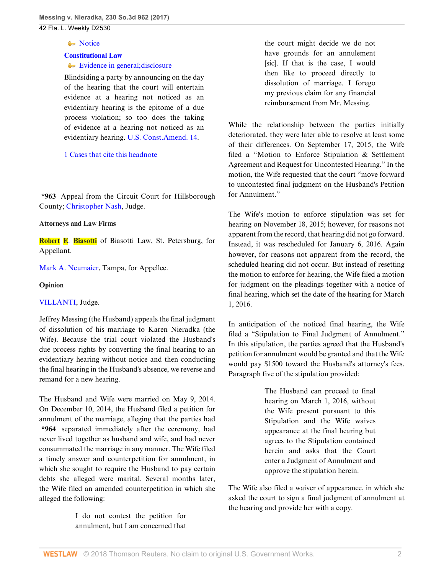#### [Notice](http://www.westlaw.com/Browse/Home/KeyNumber/92k3881/View.html?docGuid=I4044e760d51011e7adf1d38c358a4230&originationContext=document&vr=3.0&rs=cblt1.0&transitionType=DocumentItem&contextData=(sc.Search)) Notice

#### **[Constitutional Law](http://www.westlaw.com/Browse/Home/KeyNumber/92/View.html?docGuid=I4044e760d51011e7adf1d38c358a4230&originationContext=document&vr=3.0&rs=cblt1.0&transitionType=DocumentItem&contextData=(sc.Search))**

#### [Evidence in general; disclosure](http://www.westlaw.com/Browse/Home/KeyNumber/92k3882/View.html?docGuid=I4044e760d51011e7adf1d38c358a4230&originationContext=document&vr=3.0&rs=cblt1.0&transitionType=DocumentItem&contextData=(sc.Search))

Blindsiding a party by announcing on the day of the hearing that the court will entertain evidence at a hearing not noticed as an evidentiary hearing is the epitome of a due process violation; so too does the taking of evidence at a hearing not noticed as an evidentiary hearing. [U.S. Const.Amend. 14.](http://www.westlaw.com/Link/Document/FullText?findType=L&pubNum=1000583&cite=USCOAMENDXIV&originatingDoc=I4044e760d51011e7adf1d38c358a4230&refType=LQ&originationContext=document&vr=3.0&rs=cblt1.0&transitionType=DocumentItem&contextData=(sc.Search))

#### [1 Cases that cite this headnote](http://www.westlaw.com/Link/RelatedInformation/DocHeadnoteLink?docGuid=I4044e760d51011e7adf1d38c358a4230&headnoteId=204327396900520180309063317&originationContext=document&vr=3.0&rs=cblt1.0&transitionType=CitingReferences&contextData=(sc.Search))

**\*963** Appeal from the Circuit Court for Hillsborough County; [Christopher Nash,](http://www.westlaw.com/Link/Document/FullText?findType=h&pubNum=176284&cite=0484174001&originatingDoc=I4044e760d51011e7adf1d38c358a4230&refType=RQ&originationContext=document&vr=3.0&rs=cblt1.0&transitionType=DocumentItem&contextData=(sc.Search)) Judge.

#### **Attorneys and Law Firms**

**Robert E**. **[Biasotti](http://www.westlaw.com/Link/Document/FullText?findType=h&pubNum=176284&cite=0219436701&originatingDoc=I4044e760d51011e7adf1d38c358a4230&refType=RQ&originationContext=document&vr=3.0&rs=cblt1.0&transitionType=DocumentItem&contextData=(sc.Search))** of Biasotti Law, St. Petersburg, for Appellant.

[Mark A. Neumaier,](http://www.westlaw.com/Link/Document/FullText?findType=h&pubNum=176284&cite=0291457201&originatingDoc=I4044e760d51011e7adf1d38c358a4230&refType=RQ&originationContext=document&vr=3.0&rs=cblt1.0&transitionType=DocumentItem&contextData=(sc.Search)) Tampa, for Appellee.

#### **Opinion**

#### [VILLANTI,](http://www.westlaw.com/Link/Document/FullText?findType=h&pubNum=176284&cite=0107400301&originatingDoc=I4044e760d51011e7adf1d38c358a4230&refType=RQ&originationContext=document&vr=3.0&rs=cblt1.0&transitionType=DocumentItem&contextData=(sc.Search)) Judge.

Jeffrey Messing (the Husband) appeals the final judgment of dissolution of his marriage to Karen Nieradka (the Wife). Because the trial court violated the Husband's due process rights by converting the final hearing to an evidentiary hearing without notice and then conducting the final hearing in the Husband's absence, we reverse and remand for a new hearing.

The Husband and Wife were married on May 9, 2014. On December 10, 2014, the Husband filed a petition for annulment of the marriage, alleging that the parties had **\*964** separated immediately after the ceremony, had never lived together as husband and wife, and had never consummated the marriage in any manner. The Wife filed a timely answer and counterpetition for annulment, in which she sought to require the Husband to pay certain debts she alleged were marital. Several months later, the Wife filed an amended counterpetition in which she alleged the following:

> I do not contest the petition for annulment, but I am concerned that

the court might decide we do not have grounds for an annulement [sic]. If that is the case, I would then like to proceed directly to dissolution of marriage. I forego my previous claim for any financial reimbursement from Mr. Messing.

While the relationship between the parties initially deteriorated, they were later able to resolve at least some of their differences. On September 17, 2015, the Wife filed a "Motion to Enforce Stipulation & Settlement Agreement and Request for Uncontested Hearing." In the motion, the Wife requested that the court "move forward to uncontested final judgment on the Husband's Petition for Annulment."

The Wife's motion to enforce stipulation was set for hearing on November 18, 2015; however, for reasons not apparent from the record, that hearing did not go forward. Instead, it was rescheduled for January 6, 2016. Again however, for reasons not apparent from the record, the scheduled hearing did not occur. But instead of resetting the motion to enforce for hearing, the Wife filed a motion for judgment on the pleadings together with a notice of final hearing, which set the date of the hearing for March 1, 2016.

In anticipation of the noticed final hearing, the Wife filed a "Stipulation to Final Judgment of Annulment." In this stipulation, the parties agreed that the Husband's petition for annulment would be granted and that the Wife would pay \$1500 toward the Husband's attorney's fees. Paragraph five of the stipulation provided:

> The Husband can proceed to final hearing on March 1, 2016, without the Wife present pursuant to this Stipulation and the Wife waives appearance at the final hearing but agrees to the Stipulation contained herein and asks that the Court enter a Judgment of Annulment and approve the stipulation herein.

The Wife also filed a waiver of appearance, in which she asked the court to sign a final judgment of annulment at the hearing and provide her with a copy.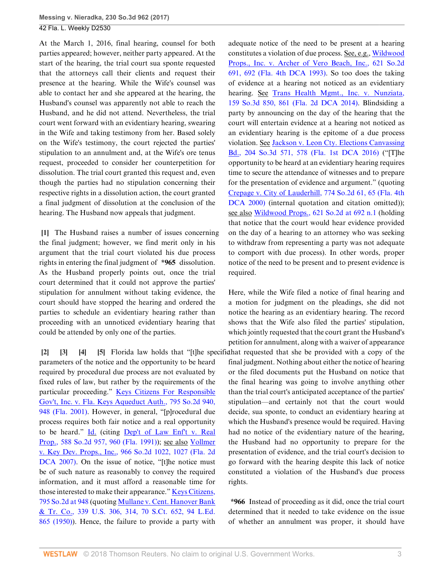At the March 1, 2016, final hearing, counsel for both parties appeared; however, neither party appeared. At the start of the hearing, the trial court sua sponte requested that the attorneys call their clients and request their presence at the hearing. While the Wife's counsel was able to contact her and she appeared at the hearing, the Husband's counsel was apparently not able to reach the Husband, and he did not attend. Nevertheless, the trial court went forward with an evidentiary hearing, swearing in the Wife and taking testimony from her. Based solely on the Wife's testimony, the court rejected the parties' stipulation to an annulment and, at the Wife's ore tenus request, proceeded to consider her counterpetition for dissolution. The trial court granted this request and, even though the parties had no stipulation concerning their respective rights in a dissolution action, the court granted a final judgment of dissolution at the conclusion of the hearing. The Husband now appeals that judgment.

<span id="page-2-0"></span>**[\[1](#page-0-0)]** The Husband raises a number of issues concerning the final judgment; however, we find merit only in his argument that the trial court violated his due process rights in entering the final judgment of **\*965** dissolution. As the Husband properly points out, once the trial court determined that it could not approve the parties' stipulation for annulment without taking evidence, the court should have stopped the hearing and ordered the parties to schedule an evidentiary hearing rather than proceeding with an unnoticed evidentiary hearing that could be attended by only one of the parties.

<span id="page-2-4"></span><span id="page-2-3"></span><span id="page-2-2"></span><span id="page-2-1"></span>**[\[2](#page-0-1)] [\[3](#page-0-2)] [\[4](#page-0-3)] [\[5](#page-0-4)]** Florida law holds that "[t]he specific that requested that she be provided with a copy of the parameters of the notice and the opportunity to be heard required by procedural due process are not evaluated by fixed rules of law, but rather by the requirements of the particular proceeding." [Keys Citizens For Responsible](http://www.westlaw.com/Link/Document/FullText?findType=Y&serNum=2001584273&pubNum=0000735&originatingDoc=I4044e760d51011e7adf1d38c358a4230&refType=RP&fi=co_pp_sp_735_948&originationContext=document&vr=3.0&rs=cblt1.0&transitionType=DocumentItem&contextData=(sc.Search)#co_pp_sp_735_948) [Gov't, Inc. v. Fla. Keys Aqueduct Auth., 795 So.2d 940,](http://www.westlaw.com/Link/Document/FullText?findType=Y&serNum=2001584273&pubNum=0000735&originatingDoc=I4044e760d51011e7adf1d38c358a4230&refType=RP&fi=co_pp_sp_735_948&originationContext=document&vr=3.0&rs=cblt1.0&transitionType=DocumentItem&contextData=(sc.Search)#co_pp_sp_735_948) [948 \(Fla. 2001\)](http://www.westlaw.com/Link/Document/FullText?findType=Y&serNum=2001584273&pubNum=0000735&originatingDoc=I4044e760d51011e7adf1d38c358a4230&refType=RP&fi=co_pp_sp_735_948&originationContext=document&vr=3.0&rs=cblt1.0&transitionType=DocumentItem&contextData=(sc.Search)#co_pp_sp_735_948). However, in general, "[p]rocedural due process requires both fair notice and a real opportunity to be heard." [Id.](http://www.westlaw.com/Link/Document/FullText?findType=Y&serNum=2001584273&pubNum=0000735&originatingDoc=I4044e760d51011e7adf1d38c358a4230&refType=RP&originationContext=document&vr=3.0&rs=cblt1.0&transitionType=DocumentItem&contextData=(sc.Search)) (citing [Dep't of Law Enf't v. Real](http://www.westlaw.com/Link/Document/FullText?findType=Y&serNum=1991142243&pubNum=0000735&originatingDoc=I4044e760d51011e7adf1d38c358a4230&refType=RP&fi=co_pp_sp_735_960&originationContext=document&vr=3.0&rs=cblt1.0&transitionType=DocumentItem&contextData=(sc.Search)#co_pp_sp_735_960) [Prop., 588 So.2d 957, 960 \(Fla. 1991\)](http://www.westlaw.com/Link/Document/FullText?findType=Y&serNum=1991142243&pubNum=0000735&originatingDoc=I4044e760d51011e7adf1d38c358a4230&refType=RP&fi=co_pp_sp_735_960&originationContext=document&vr=3.0&rs=cblt1.0&transitionType=DocumentItem&contextData=(sc.Search)#co_pp_sp_735_960)); see also [Vollmer](http://www.westlaw.com/Link/Document/FullText?findType=Y&serNum=2013732769&pubNum=0000735&originatingDoc=I4044e760d51011e7adf1d38c358a4230&refType=RP&fi=co_pp_sp_735_1027&originationContext=document&vr=3.0&rs=cblt1.0&transitionType=DocumentItem&contextData=(sc.Search)#co_pp_sp_735_1027) [v. Key Dev. Props., Inc., 966 So.2d 1022, 1027 \(Fla. 2d](http://www.westlaw.com/Link/Document/FullText?findType=Y&serNum=2013732769&pubNum=0000735&originatingDoc=I4044e760d51011e7adf1d38c358a4230&refType=RP&fi=co_pp_sp_735_1027&originationContext=document&vr=3.0&rs=cblt1.0&transitionType=DocumentItem&contextData=(sc.Search)#co_pp_sp_735_1027) [DCA 2007\).](http://www.westlaw.com/Link/Document/FullText?findType=Y&serNum=2013732769&pubNum=0000735&originatingDoc=I4044e760d51011e7adf1d38c358a4230&refType=RP&fi=co_pp_sp_735_1027&originationContext=document&vr=3.0&rs=cblt1.0&transitionType=DocumentItem&contextData=(sc.Search)#co_pp_sp_735_1027) On the issue of notice, "[t]he notice must be of such nature as reasonably to convey the required information, and it must afford a reasonable time for those interested to make their appearance." [Keys Citizens,](http://www.westlaw.com/Link/Document/FullText?findType=Y&serNum=2001584273&pubNum=0000735&originatingDoc=I4044e760d51011e7adf1d38c358a4230&refType=RP&fi=co_pp_sp_735_948&originationContext=document&vr=3.0&rs=cblt1.0&transitionType=DocumentItem&contextData=(sc.Search)#co_pp_sp_735_948) [795 So.2d at 948](http://www.westlaw.com/Link/Document/FullText?findType=Y&serNum=2001584273&pubNum=0000735&originatingDoc=I4044e760d51011e7adf1d38c358a4230&refType=RP&fi=co_pp_sp_735_948&originationContext=document&vr=3.0&rs=cblt1.0&transitionType=DocumentItem&contextData=(sc.Search)#co_pp_sp_735_948) (quoting [Mullane v. Cent. Hanover Bank](http://www.westlaw.com/Link/Document/FullText?findType=Y&serNum=1950118311&pubNum=0000708&originatingDoc=I4044e760d51011e7adf1d38c358a4230&refType=RP&originationContext=document&vr=3.0&rs=cblt1.0&transitionType=DocumentItem&contextData=(sc.Search)) [& Tr. Co., 339 U.S. 306, 314, 70 S.Ct. 652, 94 L.Ed.](http://www.westlaw.com/Link/Document/FullText?findType=Y&serNum=1950118311&pubNum=0000708&originatingDoc=I4044e760d51011e7adf1d38c358a4230&refType=RP&originationContext=document&vr=3.0&rs=cblt1.0&transitionType=DocumentItem&contextData=(sc.Search)) [865 \(1950\)\)](http://www.westlaw.com/Link/Document/FullText?findType=Y&serNum=1950118311&pubNum=0000708&originatingDoc=I4044e760d51011e7adf1d38c358a4230&refType=RP&originationContext=document&vr=3.0&rs=cblt1.0&transitionType=DocumentItem&contextData=(sc.Search)). Hence, the failure to provide a party with

adequate notice of the need to be present at a hearing constitutes a violation of due process. See, e.g., [Wildwood](http://www.westlaw.com/Link/Document/FullText?findType=Y&serNum=1993097769&pubNum=0000735&originatingDoc=I4044e760d51011e7adf1d38c358a4230&refType=RP&fi=co_pp_sp_735_692&originationContext=document&vr=3.0&rs=cblt1.0&transitionType=DocumentItem&contextData=(sc.Search)#co_pp_sp_735_692) [Props., Inc. v. Archer of Vero Beach, Inc., 621 So.2d](http://www.westlaw.com/Link/Document/FullText?findType=Y&serNum=1993097769&pubNum=0000735&originatingDoc=I4044e760d51011e7adf1d38c358a4230&refType=RP&fi=co_pp_sp_735_692&originationContext=document&vr=3.0&rs=cblt1.0&transitionType=DocumentItem&contextData=(sc.Search)#co_pp_sp_735_692) [691, 692 \(Fla. 4th DCA 1993\)](http://www.westlaw.com/Link/Document/FullText?findType=Y&serNum=1993097769&pubNum=0000735&originatingDoc=I4044e760d51011e7adf1d38c358a4230&refType=RP&fi=co_pp_sp_735_692&originationContext=document&vr=3.0&rs=cblt1.0&transitionType=DocumentItem&contextData=(sc.Search)#co_pp_sp_735_692). So too does the taking of evidence at a hearing not noticed as an evidentiary hearing. See [Trans Health Mgmt., Inc. v. Nunziata,](http://www.westlaw.com/Link/Document/FullText?findType=Y&serNum=2035072768&pubNum=0003926&originatingDoc=I4044e760d51011e7adf1d38c358a4230&refType=RP&fi=co_pp_sp_3926_861&originationContext=document&vr=3.0&rs=cblt1.0&transitionType=DocumentItem&contextData=(sc.Search)#co_pp_sp_3926_861) [159 So.3d 850, 861 \(Fla. 2d DCA 2014\).](http://www.westlaw.com/Link/Document/FullText?findType=Y&serNum=2035072768&pubNum=0003926&originatingDoc=I4044e760d51011e7adf1d38c358a4230&refType=RP&fi=co_pp_sp_3926_861&originationContext=document&vr=3.0&rs=cblt1.0&transitionType=DocumentItem&contextData=(sc.Search)#co_pp_sp_3926_861) Blindsiding a party by announcing on the day of the hearing that the court will entertain evidence at a hearing not noticed as an evidentiary hearing is the epitome of a due process violation. See [Jackson v. Leon Cty. Elections Canvassing](http://www.westlaw.com/Link/Document/FullText?findType=Y&serNum=2040356092&pubNum=0003926&originatingDoc=I4044e760d51011e7adf1d38c358a4230&refType=RP&fi=co_pp_sp_3926_578&originationContext=document&vr=3.0&rs=cblt1.0&transitionType=DocumentItem&contextData=(sc.Search)#co_pp_sp_3926_578) [Bd., 204 So.3d 571, 578 \(Fla. 1st DCA 2016\)](http://www.westlaw.com/Link/Document/FullText?findType=Y&serNum=2040356092&pubNum=0003926&originatingDoc=I4044e760d51011e7adf1d38c358a4230&refType=RP&fi=co_pp_sp_3926_578&originationContext=document&vr=3.0&rs=cblt1.0&transitionType=DocumentItem&contextData=(sc.Search)#co_pp_sp_3926_578) ("[T]he opportunity to be heard at an evidentiary hearing requires time to secure the attendance of witnesses and to prepare for the presentation of evidence and argument." (quoting [Crepage v. City of Lauderhill, 774 So.2d 61, 65 \(Fla. 4th](http://www.westlaw.com/Link/Document/FullText?findType=Y&serNum=2000602010&pubNum=0000735&originatingDoc=I4044e760d51011e7adf1d38c358a4230&refType=RP&fi=co_pp_sp_735_65&originationContext=document&vr=3.0&rs=cblt1.0&transitionType=DocumentItem&contextData=(sc.Search)#co_pp_sp_735_65) [DCA 2000\)](http://www.westlaw.com/Link/Document/FullText?findType=Y&serNum=2000602010&pubNum=0000735&originatingDoc=I4044e760d51011e7adf1d38c358a4230&refType=RP&fi=co_pp_sp_735_65&originationContext=document&vr=3.0&rs=cblt1.0&transitionType=DocumentItem&contextData=(sc.Search)#co_pp_sp_735_65) (internal quotation and citation omitted)); see also [Wildwood Props., 621 So.2d at 692 n.1](http://www.westlaw.com/Link/Document/FullText?findType=Y&serNum=1993097769&pubNum=0000735&originatingDoc=I4044e760d51011e7adf1d38c358a4230&refType=RP&fi=co_pp_sp_735_692&originationContext=document&vr=3.0&rs=cblt1.0&transitionType=DocumentItem&contextData=(sc.Search)#co_pp_sp_735_692) (holding that notice that the court would hear evidence provided on the day of a hearing to an attorney who was seeking to withdraw from representing a party was not adequate to comport with due process). In other words, proper notice of the need to be present and to present evidence is required.

Here, while the Wife filed a notice of final hearing and a motion for judgment on the pleadings, she did not notice the hearing as an evidentiary hearing. The record shows that the Wife also filed the parties' stipulation, which jointly requested that the court grant the Husband's petition for annulment, along with a waiver of appearance final judgment. Nothing about either the notice of hearing or the filed documents put the Husband on notice that the final hearing was going to involve anything other than the trial court's anticipated acceptance of the parties' stipulation—and certainly not that the court would decide, sua sponte, to conduct an evidentiary hearing at which the Husband's presence would be required. Having had no notice of the evidentiary nature of the hearing, the Husband had no opportunity to prepare for the presentation of evidence, and the trial court's decision to go forward with the hearing despite this lack of notice constituted a violation of the Husband's due process rights.

**\*966** Instead of proceeding as it did, once the trial court determined that it needed to take evidence on the issue of whether an annulment was proper, it should have